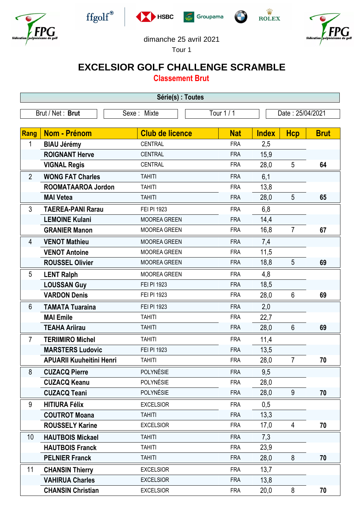











## dimanche 25 avril 2021

Tour 1

## **EXCELSIOR GOLF CHALLENGE SCRAMBLE**

**Classement Brut**

| Série(s) : Toutes |                                 |                        |            |                  |                |             |  |
|-------------------|---------------------------------|------------------------|------------|------------------|----------------|-------------|--|
| Brut / Net: Brut  |                                 | Sexe: Mixte            | Tour 1/1   | Date: 25/04/2021 |                |             |  |
|                   |                                 |                        |            |                  |                |             |  |
| Rang              | <b>Nom - Prénom</b>             | <b>Club de licence</b> | <b>Nat</b> | <b>Index</b>     | <b>Hcp</b>     | <b>Brut</b> |  |
| 1                 | <b>BIAU Jérémy</b>              | <b>CENTRAL</b>         | <b>FRA</b> | 2,5              |                |             |  |
|                   | <b>ROIGNANT Herve</b>           | <b>CENTRAL</b>         | <b>FRA</b> | 15,9             |                |             |  |
|                   | <b>VIGNAL Regis</b>             | <b>CENTRAL</b>         | <b>FRA</b> | 28,0             | 5              | 64          |  |
| $\overline{2}$    | <b>WONG FAT Charles</b>         | <b>TAHITI</b>          | <b>FRA</b> | 6,1              |                |             |  |
|                   | ROOMATAAROA Jordon              | <b>TAHITI</b>          | <b>FRA</b> | 13,8             |                |             |  |
|                   | <b>MAI Vetea</b>                | <b>TAHITI</b>          | <b>FRA</b> | 28,0             | 5              | 65          |  |
| 3                 | <b>TAEREA-PANI Rarau</b>        | FEI PI 1923            | <b>FRA</b> | 6,8              |                |             |  |
|                   | <b>LEMOINE Kulani</b>           | <b>MOOREA GREEN</b>    | <b>FRA</b> | 14,4             |                |             |  |
|                   | <b>GRANIER Manon</b>            | <b>MOOREA GREEN</b>    | <b>FRA</b> | 16,8             | $\overline{7}$ | 67          |  |
| 4                 | <b>VENOT Mathieu</b>            | <b>MOOREA GREEN</b>    | <b>FRA</b> | 7,4              |                |             |  |
|                   | <b>VENOT Antoine</b>            | <b>MOOREA GREEN</b>    | <b>FRA</b> | 11,5             |                |             |  |
|                   | <b>ROUSSEL Olivier</b>          | <b>MOOREA GREEN</b>    | <b>FRA</b> | 18,8             | 5              | 69          |  |
| 5                 | <b>LENT Ralph</b>               | <b>MOOREA GREEN</b>    | <b>FRA</b> | 4,8              |                |             |  |
|                   | <b>LOUSSAN Guy</b>              | FEI PI 1923            | <b>FRA</b> | 18,5             |                |             |  |
|                   | <b>VARDON Denis</b>             | FEI PI 1923            | <b>FRA</b> | 28,0             | 6              | 69          |  |
| 6                 | <b>TAMATA Tuaraina</b>          | FEI PI 1923            | <b>FRA</b> | 2,0              |                |             |  |
|                   | <b>MAI</b> Emile                | <b>TAHITI</b>          | <b>FRA</b> | 22,7             |                |             |  |
|                   | <b>TEAHA Ariirau</b>            | <b>TAHITI</b>          | <b>FRA</b> | 28,0             | $6\phantom{1}$ | 69          |  |
| 7                 | <b>TERIIMIRO Michel</b>         | <b>TAHITI</b>          | <b>FRA</b> | 11,4             |                |             |  |
|                   | <b>MARSTERS Ludovic</b>         | FEI PI 1923            | <b>FRA</b> | 13,5             |                |             |  |
|                   | <b>APUARII Kuuheitini Henri</b> | <b>TAHITI</b>          | <b>FRA</b> | 28,0             | 7              | 70          |  |
| 8                 | <b>CUZACQ Pierre</b>            | POLYNÉSIE              | <b>FRA</b> | 9,5              |                |             |  |
|                   | <b>CUZACQ Keanu</b>             | POLYNÉSIE              | <b>FRA</b> | 28,0             |                |             |  |
|                   | <b>CUZACQ Teani</b>             | POLYNÉSIE              | <b>FRA</b> | 28,0             | 9              | 70          |  |
| 9                 | <b>HITIURA Félix</b>            | <b>EXCELSIOR</b>       | <b>FRA</b> | 0,5              |                |             |  |
|                   | <b>COUTROT Moana</b>            | <b>TAHITI</b>          | <b>FRA</b> | 13,3             |                |             |  |
|                   | <b>ROUSSELY Karine</b>          | <b>EXCELSIOR</b>       | <b>FRA</b> | 17,0             | $\overline{4}$ | 70          |  |
| 10                | <b>HAUTBOIS Mickael</b>         | <b>TAHITI</b>          | <b>FRA</b> | 7,3              |                |             |  |
|                   | <b>HAUTBOIS Franck</b>          | <b>TAHITI</b>          | <b>FRA</b> | 23,9             |                |             |  |
|                   | <b>PELNIER Franck</b>           | <b>TAHITI</b>          | <b>FRA</b> | 28,0             | 8              | 70          |  |
| 11                | <b>CHANSIN Thierry</b>          | <b>EXCELSIOR</b>       | <b>FRA</b> | 13,7             |                |             |  |
|                   | <b>VAHIRUA Charles</b>          | <b>EXCELSIOR</b>       | <b>FRA</b> | 13,8             |                |             |  |
|                   | <b>CHANSIN Christian</b>        | <b>EXCELSIOR</b>       | <b>FRA</b> | 20,0             | 8              | 70          |  |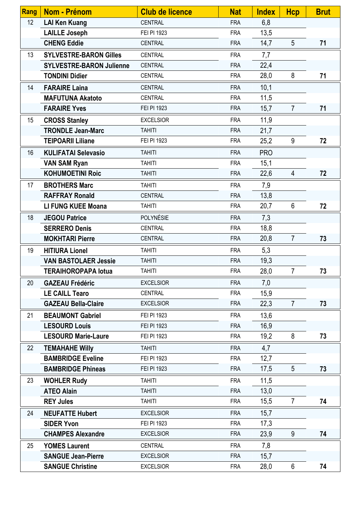| <b>Rang</b> | Nom - Prénom                    | <b>Club de licence</b> | <b>Nat</b> | <b>Index</b> | <b>Hcp</b>      | <b>Brut</b> |
|-------------|---------------------------------|------------------------|------------|--------------|-----------------|-------------|
| 12          | <b>LAI Ken Kuang</b>            | <b>CENTRAL</b>         | <b>FRA</b> | 6,8          |                 |             |
|             | <b>LAILLE Joseph</b>            | FEI PI 1923            | <b>FRA</b> | 13,5         |                 |             |
|             | <b>CHENG Eddie</b>              | <b>CENTRAL</b>         | <b>FRA</b> | 14,7         | $5\overline{)}$ | 71          |
| 13          | <b>SYLVESTRE-BARON Gilles</b>   | CENTRAL                | <b>FRA</b> | 7,7          |                 |             |
|             | <b>SYLVESTRE-BARON Julienne</b> | <b>CENTRAL</b>         | <b>FRA</b> | 22,4         |                 |             |
|             | <b>TONDINI Didier</b>           | <b>CENTRAL</b>         | <b>FRA</b> | 28,0         | 8               | 71          |
| 14          | <b>FARAIRE Laina</b>            | <b>CENTRAL</b>         | <b>FRA</b> | 10,1         |                 |             |
|             | <b>MAFUTUNA Akatoto</b>         | CENTRAL                | <b>FRA</b> | 11,5         |                 |             |
|             | <b>FARAIRE Yves</b>             | FEI PI 1923            | <b>FRA</b> | 15,7         | $\overline{7}$  | 71          |
| 15          | <b>CROSS Stanley</b>            | <b>EXCELSIOR</b>       | <b>FRA</b> | 11,9         |                 |             |
|             | <b>TRONDLE Jean-Marc</b>        | <b>TAHITI</b>          | <b>FRA</b> | 21,7         |                 |             |
|             | <b>TEIPOARII Liliane</b>        | FEI PI 1923            | <b>FRA</b> | 25,2         | 9               | 72          |
| 16          | <b>KULIFATAI Selevasio</b>      | <b>TAHITI</b>          | <b>FRA</b> | <b>PRO</b>   |                 |             |
|             | <b>VAN SAM Ryan</b>             | <b>TAHITI</b>          | <b>FRA</b> | 15,1         |                 |             |
|             | <b>KOHUMOETINI Roic</b>         | <b>TAHITI</b>          | <b>FRA</b> | 22,6         | 4               | 72          |
| 17          | <b>BROTHERS Marc</b>            | <b>TAHITI</b>          | <b>FRA</b> | 7,9          |                 |             |
|             | <b>RAFFRAY Ronald</b>           | <b>CENTRAL</b>         | <b>FRA</b> | 13,8         |                 |             |
|             | <b>LI FUNG KUEE Moana</b>       | <b>TAHITI</b>          | <b>FRA</b> | 20,7         | 6               | 72          |
| 18          | <b>JEGOU Patrice</b>            | POLYNÉSIE              | <b>FRA</b> | 7,3          |                 |             |
|             | <b>SERRERO Denis</b>            | <b>CENTRAL</b>         | <b>FRA</b> | 18,8         |                 |             |
|             | <b>MOKHTARI Pierre</b>          | <b>CENTRAL</b>         | <b>FRA</b> | 20,8         | $\overline{7}$  | 73          |
| 19          | <b>HITIURA Lionel</b>           | <b>TAHITI</b>          | <b>FRA</b> | 5,3          |                 |             |
|             | <b>VAN BASTOLAER Jessie</b>     | <b>TAHITI</b>          | <b>FRA</b> | 19,3         |                 |             |
|             | <b>TERAIHOROPAPA lotua</b>      | <b>TAHITI</b>          | <b>FRA</b> | 28,0         | $\overline{7}$  | 73          |
| 20          | <b>GAZEAU Frédéric</b>          | <b>EXCELSIOR</b>       | <b>FRA</b> | 7,0          |                 |             |
|             | <b>LE CAILL Tearo</b>           | CENTRAL                | <b>FRA</b> | 15,9         |                 |             |
|             | <b>GAZEAU Bella-Claire</b>      | <b>EXCELSIOR</b>       | <b>FRA</b> | 22,3         | $\overline{7}$  | 73          |
| 21          | <b>BEAUMONT Gabriel</b>         | FEI PI 1923            | <b>FRA</b> | 13,6         |                 |             |
|             | <b>LESOURD Louis</b>            | FEI PI 1923            | <b>FRA</b> | 16,9         |                 |             |
|             | <b>LESOURD Marie-Laure</b>      | FEI PI 1923            | <b>FRA</b> | 19,2         | 8               | 73          |
| 22          | <b>TEMAHAHE Willy</b>           | <b>TAHITI</b>          | <b>FRA</b> | 4,7          |                 |             |
|             | <b>BAMBRIDGE Eveline</b>        | FEI PI 1923            | <b>FRA</b> | 12,7         |                 |             |
|             | <b>BAMBRIDGE Phineas</b>        | FEI PI 1923            | <b>FRA</b> | 17,5         | 5               | 73          |
| 23          | <b>WOHLER Rudy</b>              | <b>TAHITI</b>          | <b>FRA</b> | 11,5         |                 |             |
|             | <b>ATEO Alain</b>               | <b>TAHITI</b>          | <b>FRA</b> | 13,0         |                 |             |
|             | <b>REY Jules</b>                | <b>TAHITI</b>          | <b>FRA</b> | 15,5         | $\overline{7}$  | 74          |
| 24          | <b>NEUFATTE Hubert</b>          | <b>EXCELSIOR</b>       | <b>FRA</b> | 15,7         |                 |             |
|             | <b>SIDER Yvon</b>               | FEI PI 1923            | <b>FRA</b> | 17,3         |                 |             |
|             | <b>CHAMPES Alexandre</b>        | <b>EXCELSIOR</b>       | <b>FRA</b> | 23,9         | 9               | 74          |
| 25          | <b>YOMES Laurent</b>            | CENTRAL                | <b>FRA</b> | 7,8          |                 |             |
|             | <b>SANGUE Jean-Pierre</b>       | <b>EXCELSIOR</b>       | <b>FRA</b> | 15,7         |                 |             |
|             | <b>SANGUE Christine</b>         | <b>EXCELSIOR</b>       | <b>FRA</b> | 28,0         | $6\phantom{.}$  | 74          |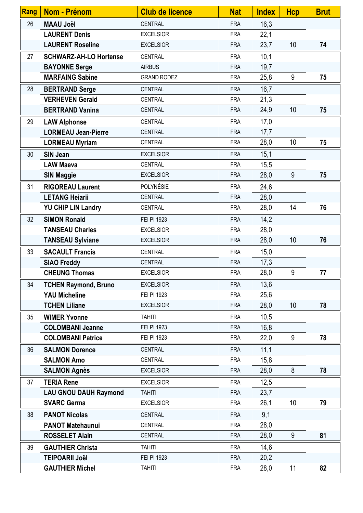| <b>Rang</b> | <b>Nom - Prénom</b>           | <b>Club de licence</b> | <b>Nat</b> | <b>Index</b> | <b>Hcp</b> | <b>Brut</b> |
|-------------|-------------------------------|------------------------|------------|--------------|------------|-------------|
| 26          | <b>MAAU Joël</b>              | <b>CENTRAL</b>         | <b>FRA</b> | 16,3         |            |             |
|             | <b>LAURENT Denis</b>          | <b>EXCELSIOR</b>       | <b>FRA</b> | 22,1         |            |             |
|             | <b>LAURENT Roseline</b>       | <b>EXCELSIOR</b>       | <b>FRA</b> | 23,7         | 10         | 74          |
| 27          | <b>SCHWARZ-AH-LO Hortense</b> | <b>CENTRAL</b>         | <b>FRA</b> | 10,1         |            |             |
|             | <b>BAYONNE Serge</b>          | <b>AIRBUS</b>          | <b>FRA</b> | 19,7         |            |             |
|             | <b>MARFAING Sabine</b>        | <b>GRAND RODEZ</b>     | <b>FRA</b> | 25,8         | 9          | 75          |
| 28          | <b>BERTRAND Serge</b>         | <b>CENTRAL</b>         | <b>FRA</b> | 16,7         |            |             |
|             | <b>VERHEVEN Gerald</b>        | <b>CENTRAL</b>         | <b>FRA</b> | 21,3         |            |             |
|             | <b>BERTRAND Vanina</b>        | <b>CENTRAL</b>         | <b>FRA</b> | 24,9         | 10         | 75          |
| 29          | <b>LAW Alphonse</b>           | <b>CENTRAL</b>         | <b>FRA</b> | 17,0         |            |             |
|             | <b>LORMEAU Jean-Pierre</b>    | <b>CENTRAL</b>         | <b>FRA</b> | 17,7         |            |             |
|             | <b>LORMEAU Myriam</b>         | <b>CENTRAL</b>         | <b>FRA</b> | 28,0         | 10         | 75          |
| 30          | <b>SIN Jean</b>               | <b>EXCELSIOR</b>       | <b>FRA</b> | 15,1         |            |             |
|             | <b>LAW Maeva</b>              | CENTRAL                | <b>FRA</b> | 15,5         |            |             |
|             | <b>SIN Maggie</b>             | <b>EXCELSIOR</b>       | <b>FRA</b> | 28,0         | 9          | 75          |
| 31          | <b>RIGOREAU Laurent</b>       | POLYNÉSIE              | <b>FRA</b> | 24,6         |            |             |
|             | <b>LETANG Heiarii</b>         | <b>CENTRAL</b>         | <b>FRA</b> | 28,0         |            |             |
|             | <b>YU CHIP LIN Landry</b>     | <b>CENTRAL</b>         | <b>FRA</b> | 28,0         | 14         | 76          |
| 32          | <b>SIMON Ronald</b>           | FEI PI 1923            | <b>FRA</b> | 14,2         |            |             |
|             | <b>TANSEAU Charles</b>        | <b>EXCELSIOR</b>       | <b>FRA</b> | 28,0         |            |             |
|             | <b>TANSEAU Sylviane</b>       | <b>EXCELSIOR</b>       | <b>FRA</b> | 28,0         | 10         | 76          |
| 33          | <b>SACAULT Francis</b>        | CENTRAL                | <b>FRA</b> | 15,0         |            |             |
|             | <b>SIAO Freddy</b>            | <b>CENTRAL</b>         | <b>FRA</b> | 17,3         |            |             |
|             | <b>CHEUNG Thomas</b>          | <b>EXCELSIOR</b>       | <b>FRA</b> | 28,0         | 9          | 77          |
| 34          | <b>TCHEN Raymond, Bruno</b>   | <b>EXCELSIOR</b>       | <b>FRA</b> | 13,6         |            |             |
|             | <b>YAU Micheline</b>          | FEI PI 1923            | <b>FRA</b> | 25,6         |            |             |
|             | <b>TCHEN Liliane</b>          | <b>EXCELSIOR</b>       | <b>FRA</b> | 28,0         | 10         | 78          |
| 35          | <b>WIMER Yvonne</b>           | <b>TAHITI</b>          | <b>FRA</b> | 10,5         |            |             |
|             | <b>COLOMBANI Jeanne</b>       | FEI PI 1923            | <b>FRA</b> | 16,8         |            |             |
|             | <b>COLOMBANI Patrice</b>      | FEI PI 1923            | <b>FRA</b> | 22,0         | 9          | 78          |
| 36          | <b>SALMON Dorence</b>         | <b>CENTRAL</b>         | <b>FRA</b> | 11,1         |            |             |
|             | <b>SALMON Amo</b>             | <b>CENTRAL</b>         | <b>FRA</b> | 15,8         |            |             |
|             | <b>SALMON Agnès</b>           | <b>EXCELSIOR</b>       | <b>FRA</b> | 28,0         | 8          | 78          |
| 37          | <b>TERIA Rene</b>             | <b>EXCELSIOR</b>       | <b>FRA</b> | 12,5         |            |             |
|             | <b>LAU GNOU DAUH Raymond</b>  | <b>TAHITI</b>          | <b>FRA</b> | 23,7         |            |             |
|             | <b>SVARC Germa</b>            | <b>EXCELSIOR</b>       | <b>FRA</b> | 26,1         | 10         | 79          |
| 38          | <b>PANOT Nicolas</b>          | <b>CENTRAL</b>         | <b>FRA</b> | 9,1          |            |             |
|             | <b>PANOT Matehaunui</b>       | <b>CENTRAL</b>         | <b>FRA</b> | 28,0         |            |             |
|             | <b>ROSSELET Alain</b>         | <b>CENTRAL</b>         | <b>FRA</b> | 28,0         | 9          | 81          |
| 39          | <b>GAUTHIER Christa</b>       | <b>TAHITI</b>          | <b>FRA</b> | 14,6         |            |             |
|             | <b>TEIPOARII Joël</b>         | FEI PI 1923            | <b>FRA</b> | 20,2         |            |             |
|             | <b>GAUTHIER Michel</b>        | <b>TAHITI</b>          | <b>FRA</b> | 28,0         | 11         | 82          |